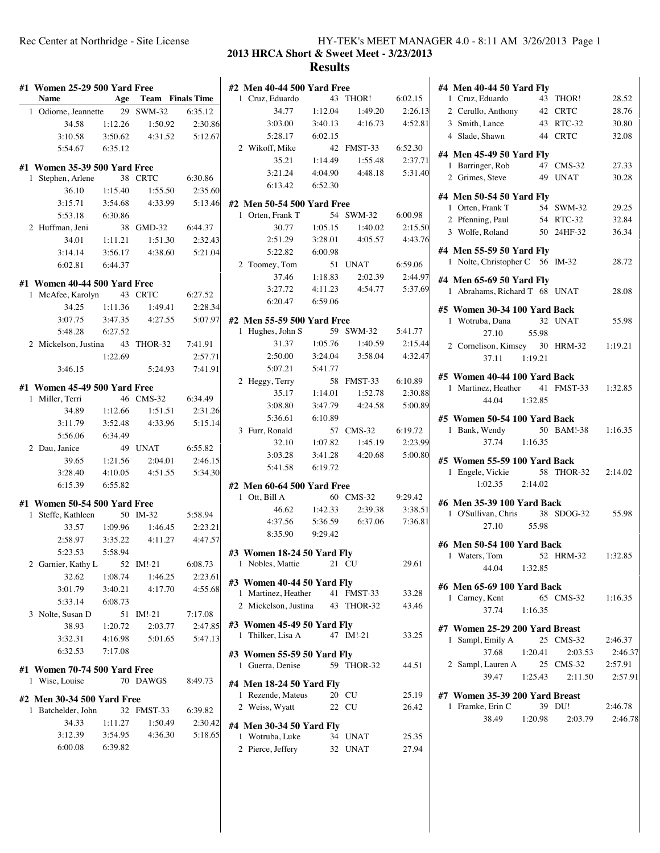# Rec Center at Northridge - Site License HY-TEK's MEET MANAGER 4.0 - 8:11 AM 3/26/2013 Page 1 **2013 HRCA Short & Sweet Meet - 3/23/2013**

# **Results**

| #1 Women 25-29 500 Yard Free<br><b>Name</b> |                    | <b>Age</b> Team Finals Time   |                    | #2 Men 4<br>1 Cruz, |
|---------------------------------------------|--------------------|-------------------------------|--------------------|---------------------|
| 1 Odiorne, Jeannette 29 SWM-32              |                    |                               | 6:35.12            |                     |
| 34.58                                       | 1:12.26            | 1:50.92                       | 2:30.86            | 3                   |
| 3:10.58                                     | 3:50.62            | 4:31.52                       | 5:12.67            | 5                   |
| 5:54.67                                     | 6:35.12            |                               |                    | 2 Wikof             |
|                                             |                    |                               |                    |                     |
| #1 Women 35-39 500 Yard Free                |                    |                               |                    | 3                   |
| Stephen, Arlene<br>1                        | 38                 | <b>CRTC</b>                   | 6:30.86            | 6                   |
| 36.10                                       | 1:15.40            | 1:55.50                       | 2:35.60            |                     |
| 3:15.71                                     | 3:54.68            | 4:33.99                       | 5:13.46            | #2 Men 5            |
| 5:53.18                                     | 6:30.86            |                               |                    | 1 Orten,            |
| 2 Huffman, Jeni                             | 38                 | GMD-32                        | 6:44.37            |                     |
| 34.01                                       | 1:11.21            | 1:51.30<br>4:38.60            | 2:32.43            | 2<br>5              |
| 3:14.14                                     | 3:56.17<br>6:44.37 |                               | 5:21.04            | 2 Toom              |
| 6:02.81                                     |                    |                               |                    |                     |
| #1 Women 40-44 500 Yard Free                |                    |                               |                    | 3                   |
| 1 McAfee, Karolyn 43 CRTC                   |                    |                               | 6:27.52            | 6                   |
| 34.25                                       | 1:11.36            | 1:49.41                       | 2:28.34            |                     |
| 3:07.75                                     | 3:47.35            | 4:27.55                       | 5:07.97            | #2 Men 5            |
| 5:48.28                                     | 6:27.52            |                               |                    | 1 Hughe             |
| 2 Mickelson, Justina 43 THOR-32             |                    |                               | 7:41.91            |                     |
|                                             | 1:22.69            |                               | 2:57.71            | 2                   |
| 3:46.15                                     |                    | 5:24.93                       | 7:41.91            | 5                   |
| #1 Women 45-49 500 Yard Free                |                    |                               |                    | 2 Heggy             |
| 1 Miller, Terri                             |                    | 46 CMS-32                     | 6:34.49            |                     |
| 34.89                                       | 1:12.66            | 1:51.51                       | 2:31.26            | 3                   |
| 3:11.79                                     | 3:52.48            | 4:33.96                       | 5:15.14            | 5                   |
| 5:56.06                                     | 6:34.49            |                               |                    | 3 Furr, I           |
| 2 Dau, Janice                               |                    | 49 UNAT                       | 6:55.82            |                     |
| 39.65                                       | 1:21.56            | 2:04.01                       | 2:46.15            | 3                   |
| 3:28.40                                     | 4:10.05            | 4:51.55                       | 5:34.30            | 5                   |
| 6:15.39                                     | 6:55.82            |                               |                    | #2 Men 6            |
|                                             |                    |                               |                    | 1 Ott, $B$          |
| #1 Women 50-54 500 Yard Free                |                    |                               |                    |                     |
| Steffe, Kathleen<br>1                       |                    | 50 IM-32                      | 5:58.94            | 4                   |
| 33.57                                       | 1:09.96            | 1:46.45                       | 2:23.21            | 8                   |
| 2:58.97                                     | 3:35.22            | 4:11.27                       | 4:47.57            |                     |
| 5:23.53                                     | 5:58.94            |                               |                    | #3 Wome<br>1 Noble  |
| 2 Garnier, Kathy L 52 IM!-21                |                    |                               | 6:08.73            |                     |
| 32.62<br>3:01.79                            | 1:08.74<br>3:40.21 | 1:46.25<br>4:17.70            | 2:23.61<br>4:55.68 | #3 Wome             |
|                                             |                    |                               |                    | 1 Martin            |
| 5:33.14                                     | 6:08.73            | 51 IM!-21                     | 7:17.08            | 2 Micke             |
| 3 Nolte, Susan D<br>38.93                   | 1:20.72            | 2:03.77                       | 2:47.85            | #3 Wome             |
|                                             |                    | $3:32.31$ $4:16.98$ $5:01.65$ | 5:47.13            | 1 Thilke            |
| 6:32.53 7:17.08                             |                    |                               |                    |                     |
|                                             |                    |                               |                    | #3 Wome             |
| #1 Women 70-74 500 Yard Free                |                    |                               |                    | 1 Guerra            |
| 1 Wise, Louise                              |                    | 70 DAWGS                      | 8:49.73            | #4 Men 1            |
| #2 Men 30-34 500 Yard Free                  |                    |                               |                    | 1 Rezen             |
| 1 Batchelder, John                          |                    | 32 FMST-33 6:39.82            |                    | 2 Weiss             |
| 34.33                                       | 1:11.27            | 1:50.49                       | 2:30.42            | #4 Men 3            |
|                                             |                    | 3:12.39 3:54.95 4:36.30       | 5:18.65            | 1 Wotru             |
| 6:00.08 6:39.82                             |                    |                               |                    | 2 Pierce            |
|                                             |                    |                               |                    |                     |
|                                             |                    |                               |                    |                     |

| #2 Men 40-44 500 Yard Free                                 |                            |                                    |                 |  |  |  |  |
|------------------------------------------------------------|----------------------------|------------------------------------|-----------------|--|--|--|--|
|                                                            |                            |                                    |                 |  |  |  |  |
|                                                            |                            | 43 THOR! 6:02.15                   |                 |  |  |  |  |
| <b>Men</b> 40 .<br>1 Cruz, Eduardo 40 40<br>24.77 1:12.04  |                            | 1:49.20                            | 2:26.13         |  |  |  |  |
| 3:03.00                                                    | 3:40.13                    | 4:16.73                            | 4:52.81         |  |  |  |  |
| 5:28.17                                                    | 6:02.15                    |                                    |                 |  |  |  |  |
| 2 Wikoff, Mike                                             |                            | 42 FMST-33 6:52.30                 |                 |  |  |  |  |
|                                                            | 35.21  1:14.49             | 1:55.48                            | 2:37.71         |  |  |  |  |
|                                                            |                            | 3:21.24  4:04.90  4:48.18  5:31.40 |                 |  |  |  |  |
| 6:13.42 6:52.30                                            |                            |                                    |                 |  |  |  |  |
|                                                            | #2 Men 50-54 500 Yard Free |                                    |                 |  |  |  |  |
|                                                            |                            | 54 SWM-32 6:00.98                  |                 |  |  |  |  |
| 1 Orten, Frank T 54<br>30.77 1:05.15                       |                            | 1:40.02                            | 2:15.50         |  |  |  |  |
| 2:51.29                                                    | 3:28.01                    | 4:05.57                            | 4:43.76         |  |  |  |  |
| 5:22.82                                                    | 6:00.98                    |                                    |                 |  |  |  |  |
| 2 Toomey, Tom                                              |                            | 51 UNAT 6:59.06                    |                 |  |  |  |  |
|                                                            | 37.46 1:18.83              | 2:02.39                            | 2:44.97         |  |  |  |  |
|                                                            |                            | 3:27.72 4:11.23 4:54.77 5:37.69    |                 |  |  |  |  |
| 6:20.47 6:59.06                                            |                            |                                    |                 |  |  |  |  |
|                                                            |                            |                                    |                 |  |  |  |  |
| #2 Men 55-59 500 Yard Free                                 |                            |                                    |                 |  |  |  |  |
| 1 Hughes, John S 59 SWM-32 5:41.77                         |                            |                                    |                 |  |  |  |  |
| 31.37                                                      | 1:05.76                    | 1:40.59                            | 2:15.44         |  |  |  |  |
| 2:50.00                                                    | 3:24.04                    | 3:58.04                            | 4:32.47         |  |  |  |  |
| 5:07.21                                                    | 5:41.77                    |                                    |                 |  |  |  |  |
| 2 Heggy, Terry                                             |                            | 58 FMST-33 6:10.89                 |                 |  |  |  |  |
|                                                            | 35.17 1:14.01              | 1:52.78                            | 2:30.88         |  |  |  |  |
|                                                            |                            | 3:08.80 3:47.79 4:24.58            | 5:00.89         |  |  |  |  |
| 5:36.61 6:10.89                                            |                            |                                    |                 |  |  |  |  |
| 3 Furr, Ronald                                             |                            | 57 CMS-32 6:19.72                  |                 |  |  |  |  |
|                                                            | 32.10 1:07.82              |                                    | 1:45.19 2:23.99 |  |  |  |  |
| 3:03.28                                                    |                            | 3:41.28 4:20.68                    | 5:00.80         |  |  |  |  |
| 5:41.58 6:19.72                                            |                            |                                    |                 |  |  |  |  |
| #2 Men 60-64 500 Yard Free                                 |                            |                                    |                 |  |  |  |  |
| 1 Ott, Bill A                                              |                            | 60 CMS-32 9:29.42                  |                 |  |  |  |  |
|                                                            |                            | 46.62 1:42.33 2:39.38              | 3:38.51         |  |  |  |  |
|                                                            |                            | 4:37.56 5:36.59 6:37.06            | 7:36.81         |  |  |  |  |
| 8:35.90 9:29.42                                            |                            |                                    |                 |  |  |  |  |
|                                                            |                            |                                    |                 |  |  |  |  |
| Women 18-24 50 Yard Fly<br>#3                              |                            |                                    |                 |  |  |  |  |
|                                                            |                            |                                    |                 |  |  |  |  |
| 1 Nobles, Mattie                                           | 21                         | CU                                 | 29.61           |  |  |  |  |
| #3 Women 40-44 50 Yard Fly                                 |                            |                                    |                 |  |  |  |  |
| 1 Martinez, Heather 41 FMST-33                             |                            |                                    | 33.28           |  |  |  |  |
| 2 Mickelson, Justina 43 THOR-32                            |                            |                                    | 43.46           |  |  |  |  |
|                                                            |                            |                                    |                 |  |  |  |  |
| 1 Thilker, Lisa A                                          |                            | 47 IM!-21                          | 33.25           |  |  |  |  |
|                                                            |                            |                                    |                 |  |  |  |  |
| 1 Guerra, Denise                                           |                            | 59 THOR-32                         | 44.51           |  |  |  |  |
| #3   Women 45-49 50 Yard Fly<br>#3 Women 55-59 50 Yard Fly |                            |                                    |                 |  |  |  |  |
| #4 Men 18-24 50 Yard Fly                                   |                            |                                    |                 |  |  |  |  |
| 1 Rezende, Mateus                                          |                            | 20 CU                              | 25.19           |  |  |  |  |
| 2 Weiss, Wyatt                                             | 22                         | CU                                 | 26.42           |  |  |  |  |
| #4 Men 30-34 50 Yard Fly                                   |                            |                                    |                 |  |  |  |  |
| 1 Wotruba, Luke                                            |                            | 34 UNAT                            | 25.35           |  |  |  |  |
| 2 Pierce, Jeffery                                          |                            | 32 UNAT                            | 27.94           |  |  |  |  |

|                                                             | #4 Men 40-44 50 Yard Fly |                     |         |
|-------------------------------------------------------------|--------------------------|---------------------|---------|
| 1 Cruz, Eduardo                                             |                          | 43 THOR!            | 28.52   |
| 2 Cerullo, Anthony 42 CRTC                                  |                          |                     | 28.76   |
| 3 Smith, Lance                                              |                          | 43 RTC-32           | 30.80   |
| 44 CRTC<br>4 Slade, Shawn                                   |                          |                     | 32.08   |
| #4 Men 45-49 50 Yard Fly                                    |                          |                     |         |
| 1 Barringer, Rob                                            |                          | 47 CMS-32           | 27.33   |
| 2 Grimes, Steve                                             |                          | 49 UNAT             | 30.28   |
|                                                             |                          |                     |         |
| #4 Men 50-54 50 Yard Fly<br>1 Orten, Frank T                |                          | 54 SWM-32           | 29.25   |
| 2 Pfenning, Paul                                            |                          | 54 RTC-32           | 32.84   |
| 3 Wolfe, Roland                                             |                          | 50 24HF-32          | 36.34   |
|                                                             |                          |                     |         |
| #4 Men 55-59 50 Yard Fly<br>1 Nolte, Christopher C 56 IM-32 |                          |                     | 28.72   |
|                                                             |                          |                     |         |
| #4 Men 65-69 50 Yard Fly                                    |                          |                     |         |
| 1 Abrahams, Richard T 68 UNAT                               |                          |                     | 28.08   |
| #5 Women 30-34 100 Yard Back                                |                          |                     |         |
| 1 Wotruba, Dana                                             |                          | 32 UNAT             | 55.98   |
| 27.10                                                       | 55.98                    |                     |         |
| 2 Cornelison, Kimsey 30 HRM-32 1:19.21                      |                          |                     |         |
| 37.11 1:19.21                                               |                          |                     |         |
| #5 Women 40-44 100 Yard Back                                |                          |                     |         |
| 1 Martinez, Heather 41 FMST-33 1:32.85                      |                          |                     |         |
| 44.04 1:32.85                                               |                          |                     |         |
| #5 Women 50-54 100 Yard Back                                |                          |                     |         |
| 1 Bank, Wendy                                               |                          | 50 BAM!-38 1:16.35  |         |
|                                                             |                          |                     |         |
| $37.74$ 1:16.35                                             |                          |                     |         |
|                                                             |                          |                     |         |
| #5 Women 55-59 100 Yard Back                                |                          |                     |         |
| 1 Engele, Vickie                                            |                          | 58 THOR-32          | 2:14.02 |
| 1:02.35 2:14.02                                             |                          |                     |         |
| #6 Men 35-39 100 Yard Back                                  |                          |                     |         |
| 1 O'Sullivan, Chris                                         |                          | 38 SDOG-32          | 55.98   |
| 27.10                                                       | 55.98                    |                     |         |
| #6 Men 50-54 100 Yard Back                                  |                          |                     |         |
| 1 Waters, Tom                                               |                          | 52 HRM-32 1:32.85   |         |
| 1:32.85<br>44.04                                            |                          |                     |         |
| #6 Men 65-69 100 Yard Back                                  |                          |                     |         |
| 1 Carney, Kent                                              |                          | 65 CMS-32 1:16.35   |         |
| 37.74<br>1:16.35                                            |                          |                     |         |
|                                                             |                          |                     |         |
| #7 Women 25-29 200 Yard Breast<br>1 Sampl, Emily A          |                          | 25 CMS-32           | 2:46.37 |
| 37.68                                                       |                          | $1:20.41$ $2:03.53$ | 2:46.37 |
| 2 Sampl, Lauren A 25 CMS-32 2:57.91                         |                          |                     |         |
| 39.47 1:25.43 2:11.50                                       |                          |                     | 2:57.91 |
|                                                             |                          |                     |         |
| #7 Women 35-39 200 Yard Breast<br>1 Framke, Erin C          | 39 DU!                   |                     | 2:46.78 |
| 1:20.98<br>38.49                                            |                          | 2:03.79             | 2:46.78 |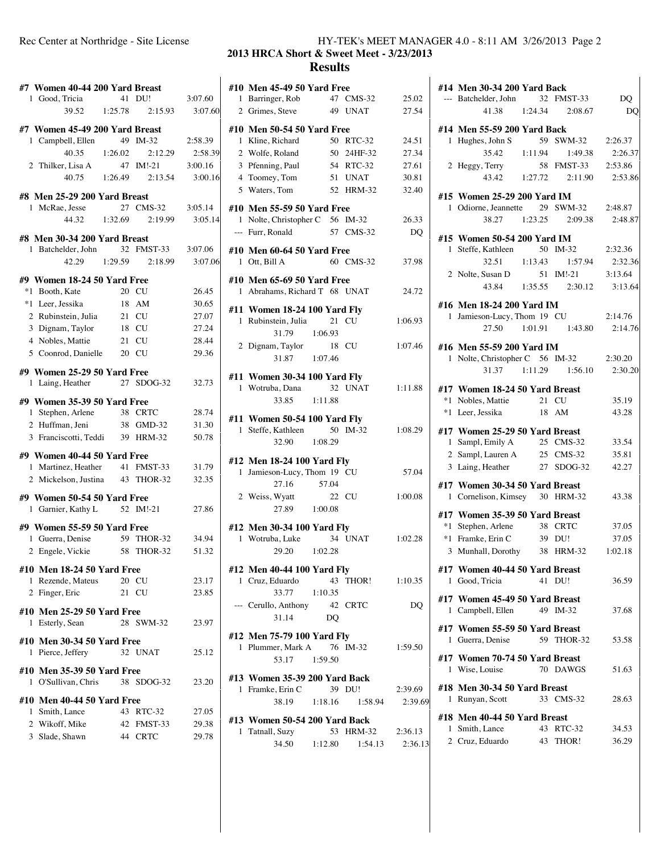| #7 Women 40-44 200 Yard Breast                     |           |                       |         |
|----------------------------------------------------|-----------|-----------------------|---------|
| 1 Good, Tricia                                     |           | 41 DU!                | 3:07.60 |
| $39.52$ 1:25.78                                    |           | 2:15.93               | 3:07.60 |
| #7 Women 45-49 200 Yard Breast                     |           |                       |         |
| 1 Campbell, Ellen                                  |           | 49 IM-32              | 2:58.39 |
| 40.35                                              | 1:26.02   | 2:12.29               | 2:58.39 |
| 2 Thilker, Lisa A                                  | 47 IM!-21 |                       | 3:00.16 |
|                                                    |           | 40.75 1:26.49 2:13.54 | 3:00.16 |
| #8 Men 25-29 200 Yard Breast                       |           |                       |         |
| 1 McRae, Jesse                                     |           | 27 CMS-32             | 3:05.14 |
| 44.32                                              | 1:32.69   | 2:19.99               | 3:05.14 |
| #8 Men 30-34 200 Yard Breast                       |           |                       |         |
| 1 Batchelder, John                                 |           | 32 FMST-33            | 3:07.06 |
| 42.29                                              |           | 1:29.59 2:18.99       | 3:07.06 |
| #9 Women 18-24 50 Yard Free                        |           |                       |         |
| *1 Booth, Kate                                     |           | 20 CU                 | 26.45   |
| *1 Leer, Jessika                                   |           | 18 AM                 | 30.65   |
| 2 Rubinstein, Julia                                |           | 21 CU                 | 27.07   |
| 3 Dignam, Taylor                                   |           | 18 CU                 | 27.24   |
| 4 Nobles, Mattie                                   | 21 CU     |                       | 28.44   |
| 5 Coonrod, Danielle 20 CU                          |           |                       | 29.36   |
| #9 Women 25-29 50 Yard Free                        |           |                       |         |
| 1 Laing, Heather                                   |           | 27 SDOG-32            | 32.73   |
| #9 Women 35-39 50 Yard Free                        |           |                       |         |
| 1 Stephen, Arlene                                  | 38 CRTC   |                       | 28.74   |
| 2 Huffman, Jeni                                    |           | 38 GMD-32             | 31.30   |
| 3 Franciscotti, Teddi 39 HRM-32                    |           |                       | 50.78   |
|                                                    |           |                       |         |
| #9 Women 40-44 50 Yard Free<br>1 Martinez, Heather |           | 41 FMST-33            | 31.79   |
| 2 Mickelson, Justina 43 THOR-32                    |           |                       | 32.35   |
|                                                    |           |                       |         |
| #9 Women 50-54 50 Yard Free                        |           |                       |         |
| 1 Garnier, Kathy L 52 IM!-21                       |           |                       | 27.86   |
| #9 Women 55-59 50 Yard Free                        |           |                       |         |
| 1 Guerra, Denise                                   |           | 59 THOR-32            | 34.94   |
| Engele, Vickie<br>2                                | 58        | <b>THOR-32</b>        | 51.32   |
| #10 Men 18-24 50 Yard Free                         |           |                       |         |
| 1 Rezende, Mateus                                  |           | 20 CU                 | 23.17   |
| 2 Finger, Eric                                     |           | 21 CU                 | 23.85   |
| #10 Men 25-29 50 Yard Free                         |           |                       |         |
| Esterly, Sean<br>1                                 | 28        | SWM-32                | 23.97   |
|                                                    |           |                       |         |
| #10 Men 30-34 50 Yard Free<br>Pierce, Jeffery<br>1 |           | 32 UNAT               | 25.12   |
|                                                    |           |                       |         |
| #10 Men 35-39 50 Yard Free                         |           |                       |         |
| 1 O'Sullivan, Chris                                |           | 38 SDOG-32            | 23.20   |
| #10 Men 40-44 50 Yard Free                         |           |                       |         |
| 1 Smith, Lance                                     |           | 43 RTC-32             | 27.05   |
| 2 Wikoff, Mike                                     |           | 42 FMST-33            | 29.38   |
| 3 Slade, Shawn                                     |           | 44 CRTC               | 29.78   |

## Rec Center at Northridge - Site License HY-TEK's MEET MANAGER 4.0 - 8:11 AM 3/26/2013 Page 2 **2013 HRCA Short & Sweet Meet - 3/23/2013**

### **Results**

|   | #10 Men 45-49 50 Yard Free                          |         |                       |           |
|---|-----------------------------------------------------|---------|-----------------------|-----------|
|   | 1 Barringer, Rob                                    |         | 47 CMS-32             | 25.02     |
| 0 | 2 Grimes, Steve                                     |         | 49 UNAT               | 27.54     |
|   | #10 Men 50-54 50 Yard Free                          |         |                       |           |
|   | 1 Kline, Richard                                    |         | 50 RTC-32             | 24.51     |
| 9 | 2 Wolfe, Roland                                     |         | 50 24HF-32            | 27.34     |
|   | 3 Pfenning, Paul                                    |         | 54 RTC-32             | 27.61     |
| 6 | 4 Toomey, Tom                                       |         | 51 UNAT               | 30.81     |
|   | 5 Waters, Tom                                       |         | 52 HRM-32             | 32.40     |
|   | #10 Men 55-59 50 Yard Free                          |         |                       |           |
| 4 | 1 Nolte, Christopher C 56 IM-32                     |         |                       | 26.33     |
|   | --- Furr, Ronald 57 CMS-32                          |         |                       | <b>DQ</b> |
|   |                                                     |         |                       |           |
|   | #10 Men 60-64 50 Yard Free                          |         |                       |           |
| 6 | 1 Ott, Bill A                                       |         | 60 CMS-32             | 37.98     |
|   | #10 Men 65-69 50 Yard Free                          |         |                       |           |
|   | 1 Abrahams, Richard T 68 UNAT                       |         |                       | 24.72     |
|   |                                                     |         |                       |           |
|   | #11 Women 18-24 100 Yard Fly<br>1 Rubinstein, Julia |         | 21 CU                 | 1:06.93   |
|   | 31.79 1:06.93                                       |         |                       |           |
|   |                                                     |         |                       | 1:07.46   |
|   | 2 Dignam, Taylor 18 CU<br>31.87 1:07.46             |         |                       |           |
|   |                                                     |         |                       |           |
|   | #11 Women 30-34 100 Yard Fly                        |         |                       |           |
|   | 1 Wotruba, Dana                                     |         | 32 UNAT               | 1:11.88   |
|   | 33.85                                               | 1:11.88 |                       |           |
|   | #11 Women 50-54 100 Yard Fly                        |         |                       |           |
|   | 1 Steffe, Kathleen                                  |         | 50 IM-32              | 1:08.29   |
|   | 32.90 1:08.29                                       |         |                       |           |
|   | #12 Men 18-24 100 Yard Fly                          |         |                       |           |
|   | 1 Jamieson-Lucy, Thom 19 CU                         |         |                       | 57.04     |
|   | 57.04<br>27.16                                      |         |                       |           |
|   | 2 Weiss, Wyatt                                      | 22 CU   |                       | 1:00.08   |
|   | 27.89 1:00.08                                       |         |                       |           |
|   |                                                     |         |                       |           |
|   | #12 Men 30-34 100 Yard Fly                          |         |                       |           |
|   | 1 Wotruba, Luke                                     |         | 34 UNAT               | 1:02.28   |
|   | 29.20 1:02.28                                       |         |                       |           |
|   | #12 Men 40-44 100 Yard Fly                          |         |                       |           |
|   | 1 Cruz, Eduardo                                     |         | 43 THOR! 1:10.35      |           |
|   | 33.77 1:10.35                                       |         |                       |           |
|   | --- Cerullo, Anthony                                |         | 42 CRTC               | DQ        |
|   | 31.14                                               | DO      |                       |           |
|   | #12 Men 75-79 100 Yard Fly                          |         |                       |           |
|   | 1 Plummer, Mark A 76 IM-32                          |         |                       | 1:59.50   |
|   | 53.17 1:59.50                                       |         |                       |           |
|   |                                                     |         |                       |           |
|   | #13 Women 35-39 200 Yard Back                       |         |                       |           |
|   | 1 Framke, Erin C                                    | 39 DU!  |                       | 2:39.69   |
|   |                                                     |         | 38.19 1:18.16 1:58.94 | 2:39.69   |
|   | #13 Women 50-54 200 Yard Back                       |         |                       |           |
|   | 1 Tatnall, Suzy                                     |         | 53 HRM-32 2:36.13     |           |
|   | 34.50   1:12.80   1:54.13   2:36.13                 |         |                       |           |

|   |              | #14 Men 30-34 200 Yard Back                      |       |                                     |           |
|---|--------------|--------------------------------------------------|-------|-------------------------------------|-----------|
|   |              | --- Batchelder, John 32 FMST-33                  |       |                                     | <b>DQ</b> |
|   |              |                                                  |       | 41.38 1:24.34 2:08.67               | <b>DQ</b> |
|   |              | #14 Men 55-59 200 Yard Back                      |       |                                     |           |
|   |              | 1 Hughes, John S 59 SWM-32 2:26.37               |       |                                     |           |
|   |              |                                                  |       | 35.42   1:11.94   1:49.38           | 2:26.37   |
|   |              | 2 Heggy, Terry 58 FMST-33 2:53.86                |       |                                     |           |
|   |              |                                                  |       | 43.42 1:27.72 2:11.90 2:53.86       |           |
|   |              | #15 Women 25-29 200 Yard IM                      |       |                                     |           |
|   |              | 1 Odiorne, Jeannette 29 SWM-32 2:48.87           |       |                                     |           |
|   |              |                                                  |       | 38.27 1:23.25 2:09.38 2:48.87       |           |
|   |              | #15 Women 50-54 200 Yard IM                      |       |                                     |           |
|   |              | 1 Steffe, Kathleen                               |       | 50 IM-32 2:32.36                    |           |
|   |              |                                                  |       | 32.51  1:13.43  1:57.94             | 2:32.36   |
|   |              | 2 Nolte, Susan D                                 |       | 51 IM!-21 3:13.64                   |           |
|   |              |                                                  |       | 43.84 1:35.55 2:30.12 3:13.64       |           |
|   |              | #16 Men 18-24 200 Yard IM                        |       |                                     |           |
|   |              | 1 Jamieson-Lucy, Thom 19 CU 2:14.76              |       |                                     |           |
|   |              |                                                  |       | 27.50   1:01.91   1:43.80   2:14.76 |           |
|   |              |                                                  |       |                                     |           |
|   |              | #16 Men 55-59 200 Yard IM                        |       |                                     |           |
|   |              | 1 Nolte, Christopher C 56 IM-32 2:30.20          |       |                                     |           |
|   |              |                                                  |       | 31.37 1:11.29 1:56.10 2:30.20       |           |
|   |              | #17 Women 18-24 50 Yard Breast                   |       |                                     |           |
|   |              | *1 Nobles, Mattie 21 CU                          |       |                                     | 35.19     |
|   |              | *1 Leer, Jessika                                 | 18 AM |                                     | 43.28     |
|   |              | #17 Women 25-29 50 Yard Breast                   |       |                                     |           |
|   |              | 1 Sampl, Emily A                                 |       | $25$ CMS-32                         | 33.54     |
|   |              | 2 Sampl, Lauren A                                |       | 25 CMS-32                           | 35.81     |
|   |              | 3 Laing, Heather                                 |       | 27 SDOG-32                          | 42.27     |
|   |              | #17 Women 30-34 50 Yard Breast                   |       |                                     |           |
|   |              | 1 Cornelison, Kimsey 30 HRM-32                   |       |                                     | 43.38     |
|   |              | #17 Women 35-39 50 Yard Breast                   |       |                                     |           |
|   |              | $*1$ Stephen, Arlene 38 CRTC                     |       |                                     | 37.05     |
|   |              | *1 Framke, Erin C                                |       | 39 DU!                              | 37.05     |
|   |              | 3 Munhall, Dorothy 38 HRM-32 1:02.18             |       |                                     |           |
|   |              | #17  Women 40-44 50 Yard Breast                  |       |                                     |           |
|   |              | 1 Good, Tricia                                   |       | 41 DU!                              | 36.59     |
|   |              | #17 Women 45-49 50 Yard Breast                   |       |                                     |           |
|   |              | 1 Campbell, Ellen                                |       | 49 IM-32                            | 37.68     |
|   |              |                                                  |       |                                     |           |
|   | $\mathbf{1}$ | #17 Women 55-59 50 Yard Breast<br>Guerra, Denise |       | 59 THOR-32                          | 53.58     |
|   |              |                                                  |       |                                     |           |
|   |              | #17  Women 70-74 50 Yard Breast                  |       |                                     |           |
|   |              | 1 Wise Louise                                    |       | 70 DAWGS                            | 51.63     |
|   |              | #18 Men 30-34 50 Yard Breast                     |       |                                     |           |
| 9 |              | 1 Runyan, Scott                                  |       | 33 CMS-32                           | 28.63     |
|   |              | #18 Men 40-44 50 Yard Breast                     |       |                                     |           |
|   |              | 1 Smith, Lance                                   |       | 43 RTC-32                           | 34.53     |
| 3 |              | 2 Cruz, Eduardo                                  | 43    | THOR!                               | 36.29     |
|   |              |                                                  |       |                                     |           |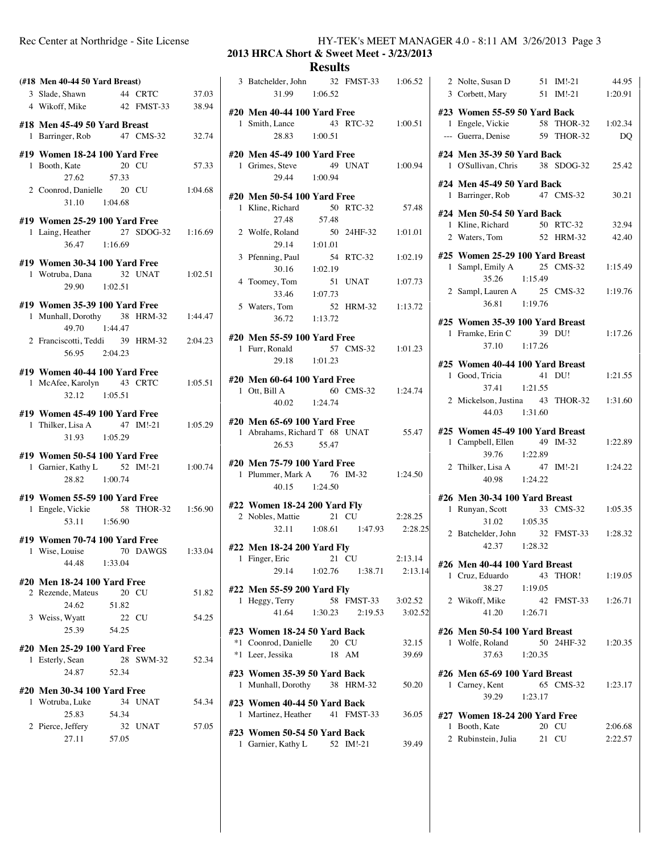| (#18 Men 40-44 50 Yard Breast)                                                          |                    |                |
|-----------------------------------------------------------------------------------------|--------------------|----------------|
| 3 Slade, Shawn<br>4 Wikoff, Mike 42 FMST-33                                             | 44 CRTC            | 37.03<br>38.94 |
| #18 Men 45-49 50 Yard Breast<br>1 Barringer, Rob 47 CMS-32                              |                    | 32.74          |
| #19 Women 18-24 100 Yard Free<br>20 CU<br>1 Booth, Kate<br>27.62 57.33                  |                    | 57.33          |
| 2 Coonrod, Danielle 20 CU<br>31.10 1:04.68                                              |                    | 1:04.68        |
| #19 Women 25-29 100 Yard Free<br>1 Laing, Heather<br>36.47 1:16.69                      | 27 SDOG-32 1:16.69 |                |
| #19 Women 30-34 100 Yard Free<br>1 Wotruba, Dana<br>29.90 1:02.51                       | 32 UNAT            | 1:02.51        |
| #19 Women 35-39 100 Yard Free<br>1 Munhall, Dorothy 38 HRM-32 1:44.47<br>49.70  1:44.47 |                    |                |
| 2 Franciscotti, Teddi 39 HRM-32<br>56.95 2:04.23                                        |                    | 2:04.23        |
| #19 Women 40-44 100 Yard Free<br>1 McAfee, Karolyn 43 CRTC 1:05.51<br>32.12   1:05.51   |                    |                |
| #19 Women 45-49 100 Yard Free<br>1 Thilker, Lisa A 47<br>31.93 1:05.29                  | 47 IM!-21 1:05.29  |                |
| #19 Women 50-54 100 Yard Free<br>1 Garnier, Kathy L 52 IM!-21 1:00.74<br>28.82 1:00.74  |                    |                |
| #19 Women 55-59 100 Yard Free<br>1 Engele, Vickie 58 THOR-32 1:56.90<br>53.11 1:56.90   |                    |                |
| #19 Women 70-74 100 Yard Free<br>1 Wise, Louise 70 DAWGS 1:33.04<br>44.48 1:33.04       |                    |                |
| #20 Men 18-24 100 Yard Free<br>2 Rezende, Mateus<br>24.62<br>20 CU<br>51.82             |                    | 51.82          |
| 3 Weiss, Wyatt<br>22 CU<br>25.39 54.25                                                  |                    | 54.25          |
| #20 Men 25-29 100 Yard Free<br>1 Esterly, Sean<br>24.87<br>52.34                        | 28 SWM-32          | 52.34          |
| #20 Men 30-34 100 Yard Free<br>1 Wotruba, Luke                                          | 34 UNAT            | 54.34          |
| 25.83<br>54.34<br>2 Pierce, Jeffery<br>27.11 57.05                                      | 32 UNAT            | 57.05          |
|                                                                                         |                    |                |

### Rec Center at Northridge - Site License HY-TEK's MEET MANAGER 4.0 - 8:11 AM 3/26/2013 Page 3

**2013 HRCA Short & Sweet Meet - 3/23/2013**

# **Results**

| 3 Batchelder, John 32 FMST-33<br>31.99 1:06.52  |       |                             | 1:06.52 |
|-------------------------------------------------|-------|-----------------------------|---------|
| #20 Men 40-44 100 Yard Free<br>1 Smith, Lance   |       | 43 RTC-32 1:00.51           |         |
| 28.83 1:00.51                                   |       |                             |         |
| #20 Men 45-49 100 Yard Free                     |       |                             |         |
| 1 Grimes, Steve<br>29.44 1:00.94                |       | 49 UNAT 1:00.94             |         |
|                                                 |       |                             |         |
| #20 Men 50-54 100 Yard Free<br>1 Kline, Richard |       | 50 RTC-32                   | 57.48   |
| 27.48                                           | 57.48 |                             |         |
|                                                 |       | 50 24HF-32                  | 1:01.01 |
| 2 Wolfe, Roland 50<br>29.14 1:01.01             |       |                             |         |
| 3 Pfenning, Paul                                |       | 54 RTC-32                   | 1:02.19 |
| $30.16$ 1:02.19                                 |       |                             |         |
| 4 Toomey, Tom                                   |       | 51 UNAT                     | 1:07.73 |
| 33.46 1:07.73                                   |       |                             |         |
| 5 Waters, Tom                                   |       | 52 HRM-32 1:13.72           |         |
| 36.72 1:13.72                                   |       |                             |         |
| #20 Men 55-59 100 Yard Free                     |       |                             |         |
| 1 Furr, Ronald                                  |       | 57 CMS-32 1:01.23           |         |
| 29.18 1:01.23                                   |       |                             |         |
| #20 Men 60-64 100 Yard Free                     |       |                             |         |
| 1 Ott, Bill A                                   |       | 60 CMS-32 1:24.74           |         |
| 40.02 1:24.74                                   |       |                             |         |
| #20 Men 65-69 100 Yard Free                     |       |                             |         |
| 1 Abrahams, Richard T 68 UNAT                   |       |                             | 55.47   |
| 26.53                                           | 55.47 |                             |         |
| #20 Men 75-79 100 Yard Free                     |       |                             |         |
| 1 Plummer, Mark A 76 IM-32                      |       |                             | 1:24.50 |
| 40.15 1:24.50                                   |       |                             |         |
| #22 Women 18-24 200 Yard Fly                    |       |                             |         |
| 2 Nobles, Mattie 21 CU                          |       |                             | 2:28.25 |
|                                                 |       | 32.11 1:08.61 1:47.93       | 2:28.25 |
| #22 Men 18-24 200 Yard Fly                      |       |                             |         |
| 1 Finger, Eric 21 CU                            |       |                             | 2:13.14 |
| 29.14                                           |       | $1:02.76$ $1:38.71$         | 2:13.14 |
| #22 Men 55-59 200 Yard Fly                      |       |                             |         |
| $\overline{1}$ Heggy, Terry                     |       | 58 FMST-33                  | 3:02.52 |
|                                                 |       | $41.64$ $1:30.23$ $2:19.53$ | 3:02.52 |
| #23 Women 18-24 50 Yard Back                    |       |                             |         |
| *1 Coonrod, Danielle 20 CU                      |       |                             | 32.15   |
| *1 Leer, Jessika                                | 18 AM |                             | 39.69   |
| #23 Women 35-39 50 Yard Back                    |       |                             |         |
| 1 Munhall, Dorothy 38 HRM-32                    |       |                             | 50.20   |
| #23 Women 40-44 50 Yard Back                    |       |                             |         |
| 1 Martinez, Heather 41 FMST-33                  |       |                             | 36.05   |
|                                                 |       |                             |         |

**#23 Women 50-54 50 Yard Back** 1 Garnier, Kathy L 52 IM!-21 39.49

|   | 2 Nolte, Susan D                        |         | 51 IM!-21  | 44.95              |
|---|-----------------------------------------|---------|------------|--------------------|
|   | 3 Corbett, Mary                         |         | 51 IM!-21  | 1:20.91            |
|   |                                         |         |            |                    |
|   | #23 Women 55-59 50 Yard Back            |         |            |                    |
| 1 | Engele, Vickie                          |         |            | 58 THOR-32 1:02.34 |
|   | --- Guerra, Denise 59 THOR-32           |         |            | DO                 |
|   |                                         |         |            |                    |
|   | #24 Men 35-39 50 Yard Back              |         |            |                    |
|   | 1 O'Sullivan, Chris 38 SDOG-32          |         |            | 25.42              |
|   |                                         |         |            |                    |
|   | #24 Men 45-49 50 Yard Back              |         |            |                    |
| 1 | Barringer, Rob 47 CMS-32                |         |            | 30.21              |
|   | #24 Men 50-54 50 Yard Back              |         |            |                    |
|   | 1 Kline, Richard                        |         | 50 RTC-32  | 32.94              |
|   |                                         |         | 52 HRM-32  | 42.40              |
|   | 2 Waters, Tom                           |         |            |                    |
|   | #25 Women 25-29 100 Yard Breast         |         |            |                    |
| 1 | Sampl, Emily A                          |         | 25 CMS-32  | 1:15.49            |
|   | 35.26                                   | 1:15.49 |            |                    |
|   |                                         |         |            |                    |
|   | 2 Sampl, Lauren A 25 CMS-32             |         |            | 1:19.76            |
|   | 36.81                                   | 1:19.76 |            |                    |
|   | #25 Women 35-39 100 Yard Breast         |         |            |                    |
|   |                                         |         |            |                    |
|   | 1 Framke, Erin C                        |         | 39 DU!     | 1:17.26            |
|   | 37.10 1:17.26                           |         |            |                    |
|   | #25 Women 40-44 100 Yard Breast         |         |            |                    |
|   | 1 Good, Tricia                          |         | 41 DU!     | 1:21.55            |
|   |                                         |         |            |                    |
|   | 37.41 1:21.55                           |         |            |                    |
|   | 2 Mickelson, Justina 43 THOR-32 1:31.60 |         |            |                    |
|   | 44.03 1:31.60                           |         |            |                    |
|   |                                         |         |            |                    |
|   | #25 Women 45-49 100 Yard Breast         |         |            |                    |
|   | 1 Campbell, Ellen 49 IM-32              |         |            | 1:22.89            |
|   | 39.76 1:22.89                           |         |            |                    |
|   | 2 Thilker, Lisa A                       |         | 47 IM!-21  | 1:24.22            |
|   | 40.98 1:24.22                           |         |            |                    |
|   |                                         |         |            |                    |
|   | #26 Men 30-34 100 Yard Breast           |         |            |                    |
| 1 | Runyan, Scott                           |         | 33 CMS-32  | 1:05.35            |
|   | 31.02 1:05.35                           |         |            |                    |
|   | 2 Batchelder, John                      |         |            | 32 FMST-33 1:28.32 |
|   | 42.37 1:28.32                           |         |            |                    |
|   |                                         |         |            |                    |
|   | #26 Men 40-44 100 Yard Breast           |         |            |                    |
|   | 1 Cruz, Eduardo                         |         |            | 43 THOR! 1:19.05   |
|   | 38.27                                   | 1:19.05 |            |                    |
|   | 2 Wikoff, Mike                          |         |            | 42 FMST-33 1:26.71 |
|   |                                         |         |            |                    |
|   | 41.20 1:26.71                           |         |            |                    |
|   | #26 Men 50-54 100 Yard Breast           |         |            |                    |
|   | 1 Wolfe, Roland                         |         | 50 24HF-32 | 1:20.35            |
|   |                                         |         |            |                    |
|   | 37.63                                   | 1:20.35 |            |                    |
|   | #26 Men 65-69 100 Yard Breast           |         |            |                    |
|   | 1 Carney, Kent                          |         | 65 CMS-32  | 1:23.17            |
|   | 39.29 1:23.17                           |         |            |                    |
|   |                                         |         |            |                    |
|   | #27 Women 18-24 200 Yard Free           |         |            |                    |
| 1 | Booth, Kate                             |         | 20 CU      | 2:06.68            |
|   | 2 Rubinstein, Julia 21 CU               |         |            | 2:22.57            |
|   |                                         |         |            |                    |